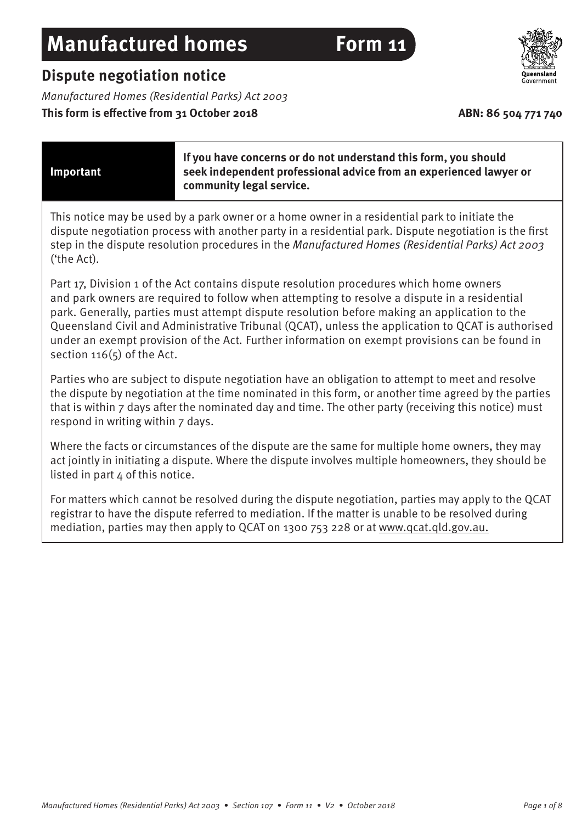# **Dispute negotiation notice**

Manufactured Homes (Residential Parks) Act 2003

# This form is effective from 31 October 2018 **ABN: 86 504 771 740**

#### **Important**

**If you have concerns or do not understand this form, you should seek independent professional advice from an experienced lawyer or community legal service.** 

This notice may be used by a park owner or a home owner in a residential park to initiate the dispute negotiation process with another party in a residential park. Dispute negotiation is the first step in the dispute resolution procedures in the Manufactured Homes (Residential Parks) Act 2003 ('the Act).

Part 17, Division 1 of the Act contains dispute resolution procedures which home owners and park owners are required to follow when attempting to resolve a dispute in a residential park. Generally, parties must attempt dispute resolution before making an application to the Queensland Civil and Administrative Tribunal (QCAT), unless the application to QCAT is authorised under an exempt provision of the Act. Further information on exempt provisions can be found in section  $116(5)$  of the Act.

Parties who are subject to dispute negotiation have an obligation to attempt to meet and resolve the dispute by negotiation at the time nominated in this form, or another time agreed by the parties that is within 7 days after the nominated day and time. The other party (receiving this notice) must respond in writing within 7 days.

Where the facts or circumstances of the dispute are the same for multiple home owners, they may act jointly in initiating a dispute. Where the dispute involves multiple homeowners, they should be listed in part 4 of this notice.

For matters which cannot be resolved during the dispute negotiation, parties may apply to the QCAT registrar to have the dispute referred to mediation. If the matter is unable to be resolved during mediation, parties may then apply to QCAT on 1300 753 228 or at [www.qcat.qld.gov.au](http://www.qcat.qld.gov.au).

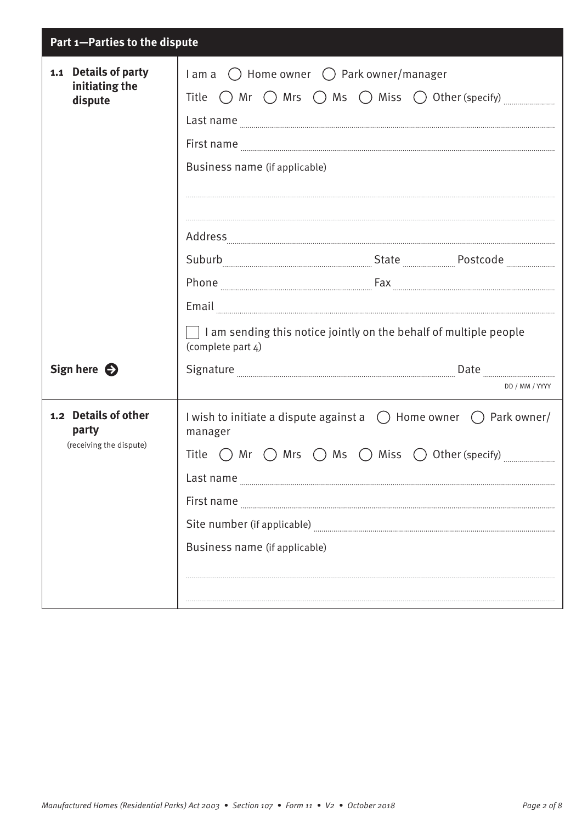| Part 1-Parties to the dispute                            |                                                                                                                                                                                                                                      |  |
|----------------------------------------------------------|--------------------------------------------------------------------------------------------------------------------------------------------------------------------------------------------------------------------------------------|--|
| 1.1 Details of party<br>initiating the<br>dispute        | $l$ am a $\bigcirc$ Home owner $\bigcirc$ Park owner/manager<br>Title $\bigcirc$ Mr $\bigcirc$ Mrs $\bigcirc$ Ms $\bigcirc$ Miss $\bigcirc$ Other (specify)                                                                          |  |
|                                                          |                                                                                                                                                                                                                                      |  |
|                                                          | Last name                                                                                                                                                                                                                            |  |
|                                                          | First name <b>with a material contract of the contract of the contract of the contract of the contract of the contract of the contract of the contract of the contract of the contract of the contract of the contract of the co</b> |  |
|                                                          | Business name (if applicable)                                                                                                                                                                                                        |  |
|                                                          |                                                                                                                                                                                                                                      |  |
|                                                          |                                                                                                                                                                                                                                      |  |
|                                                          |                                                                                                                                                                                                                                      |  |
|                                                          |                                                                                                                                                                                                                                      |  |
|                                                          |                                                                                                                                                                                                                                      |  |
|                                                          | Email                                                                                                                                                                                                                                |  |
|                                                          | $\Box$ I am sending this notice jointly on the behalf of multiple people<br>(complete part 4)                                                                                                                                        |  |
| Sign here $\bigodot$                                     | Signature <b>Election</b> Communication and Date <b>Communication</b> Date <b>Communication</b> and Communication                                                                                                                    |  |
|                                                          | DD / MM / YYYY                                                                                                                                                                                                                       |  |
| 1.2 Details of other<br>party<br>(receiving the dispute) | I wish to initiate a dispute against a $\bigcirc$ Home owner $\bigcirc$ Park owner/<br>manager                                                                                                                                       |  |
|                                                          | Title $\bigcirc$ Mr $\bigcirc$ Mrs $\bigcirc$ Ms $\bigcirc$ Miss $\bigcirc$ Other (specify)                                                                                                                                          |  |
|                                                          | Last name                                                                                                                                                                                                                            |  |
|                                                          | First name                                                                                                                                                                                                                           |  |
|                                                          |                                                                                                                                                                                                                                      |  |
|                                                          | Business name (if applicable)                                                                                                                                                                                                        |  |
|                                                          |                                                                                                                                                                                                                                      |  |
|                                                          |                                                                                                                                                                                                                                      |  |
|                                                          |                                                                                                                                                                                                                                      |  |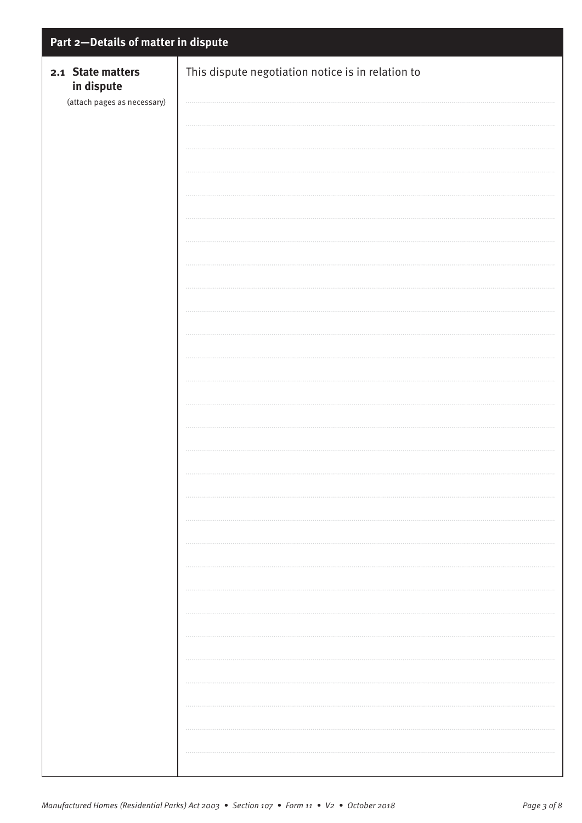| Part 2-Details of matter in dispute                            |                                                   |  |
|----------------------------------------------------------------|---------------------------------------------------|--|
| 2.1 State matters<br>in dispute<br>(attach pages as necessary) | This dispute negotiation notice is in relation to |  |
|                                                                |                                                   |  |
|                                                                |                                                   |  |
|                                                                |                                                   |  |
|                                                                |                                                   |  |
|                                                                |                                                   |  |
|                                                                |                                                   |  |
|                                                                |                                                   |  |
|                                                                |                                                   |  |
|                                                                |                                                   |  |
|                                                                |                                                   |  |
|                                                                |                                                   |  |
|                                                                |                                                   |  |
|                                                                |                                                   |  |
|                                                                |                                                   |  |
|                                                                |                                                   |  |
|                                                                |                                                   |  |
|                                                                |                                                   |  |
|                                                                |                                                   |  |
|                                                                |                                                   |  |
|                                                                |                                                   |  |
|                                                                |                                                   |  |
|                                                                |                                                   |  |
|                                                                |                                                   |  |
|                                                                |                                                   |  |
|                                                                |                                                   |  |
|                                                                |                                                   |  |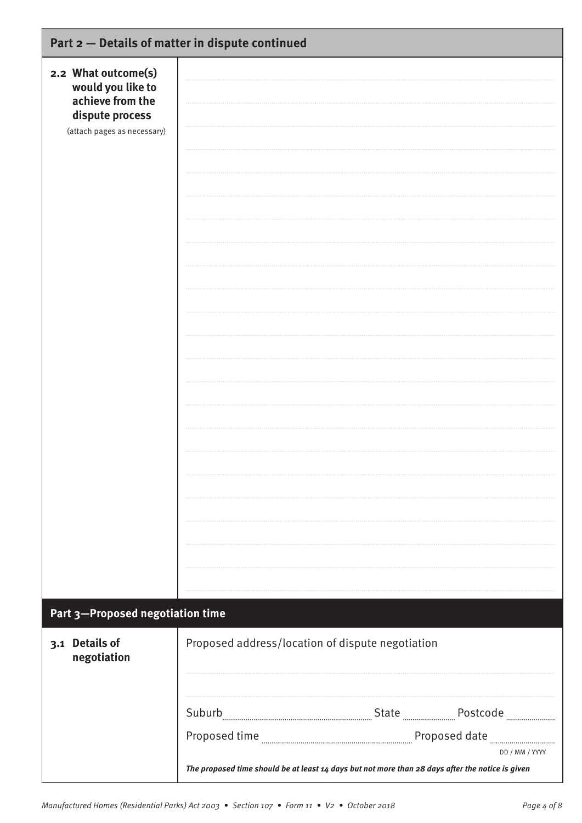|                                                              | Part 2 - Details of matter in dispute continued                                                                    |
|--------------------------------------------------------------|--------------------------------------------------------------------------------------------------------------------|
| 2.2 What outcome(s)<br>would you like to<br>achieve from the |                                                                                                                    |
| dispute process<br>(attach pages as necessary)               |                                                                                                                    |
|                                                              |                                                                                                                    |
|                                                              |                                                                                                                    |
|                                                              |                                                                                                                    |
|                                                              |                                                                                                                    |
|                                                              |                                                                                                                    |
|                                                              |                                                                                                                    |
|                                                              |                                                                                                                    |
|                                                              |                                                                                                                    |
|                                                              |                                                                                                                    |
|                                                              |                                                                                                                    |
|                                                              |                                                                                                                    |
|                                                              |                                                                                                                    |
|                                                              |                                                                                                                    |
|                                                              |                                                                                                                    |
|                                                              |                                                                                                                    |
| Part 3-Proposed negotiation time                             |                                                                                                                    |
| 3.1 Details of<br>negotiation                                | Proposed address/location of dispute negotiation                                                                   |
|                                                              |                                                                                                                    |
|                                                              |                                                                                                                    |
|                                                              |                                                                                                                    |
|                                                              | DD / MM / YYYY<br>The proposed time should be at least 14 days but not more than 28 days after the notice is given |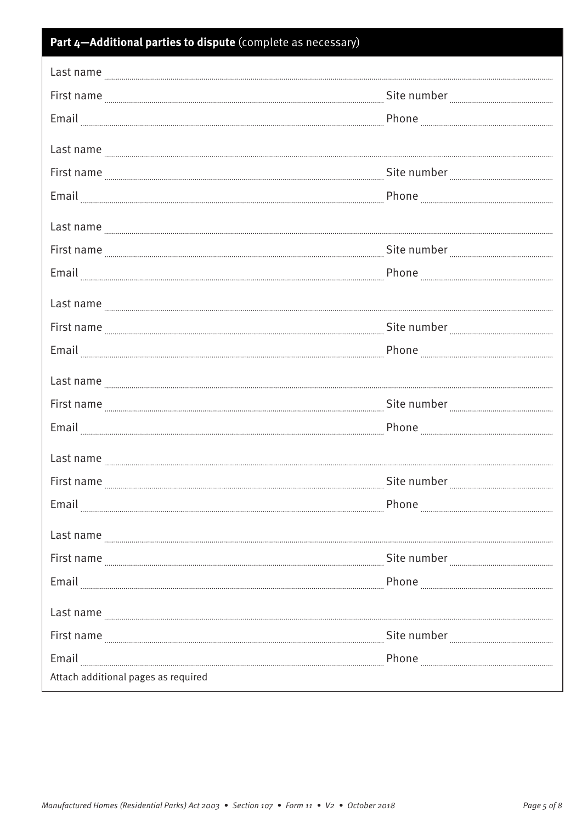| Part 4-Additional parties to dispute (complete as necessary)                                                                                                                                                                                                                                                                                                                                                                                                               |                                                                                                                                                                                                                                |  |
|----------------------------------------------------------------------------------------------------------------------------------------------------------------------------------------------------------------------------------------------------------------------------------------------------------------------------------------------------------------------------------------------------------------------------------------------------------------------------|--------------------------------------------------------------------------------------------------------------------------------------------------------------------------------------------------------------------------------|--|
| Last name                                                                                                                                                                                                                                                                                                                                                                                                                                                                  |                                                                                                                                                                                                                                |  |
|                                                                                                                                                                                                                                                                                                                                                                                                                                                                            |                                                                                                                                                                                                                                |  |
|                                                                                                                                                                                                                                                                                                                                                                                                                                                                            |                                                                                                                                                                                                                                |  |
|                                                                                                                                                                                                                                                                                                                                                                                                                                                                            |                                                                                                                                                                                                                                |  |
| Last name <b>Election</b> Communication and the contract of the contract of the contract of the contract of the contract of the contract of the contract of the contract of the contract of the contract of the contract of the con<br>First name <b>Election</b> and the contract of the number and continuum continuum contract of the number and continuum continuum continuum contract of the number and continuum continuum continuum contract of the number and cont |                                                                                                                                                                                                                                |  |
|                                                                                                                                                                                                                                                                                                                                                                                                                                                                            |                                                                                                                                                                                                                                |  |
|                                                                                                                                                                                                                                                                                                                                                                                                                                                                            |                                                                                                                                                                                                                                |  |
| Last name                                                                                                                                                                                                                                                                                                                                                                                                                                                                  |                                                                                                                                                                                                                                |  |
|                                                                                                                                                                                                                                                                                                                                                                                                                                                                            |                                                                                                                                                                                                                                |  |
|                                                                                                                                                                                                                                                                                                                                                                                                                                                                            |                                                                                                                                                                                                                                |  |
|                                                                                                                                                                                                                                                                                                                                                                                                                                                                            |                                                                                                                                                                                                                                |  |
|                                                                                                                                                                                                                                                                                                                                                                                                                                                                            |                                                                                                                                                                                                                                |  |
|                                                                                                                                                                                                                                                                                                                                                                                                                                                                            |                                                                                                                                                                                                                                |  |
| Last name entity and the contract of the contract of the contract of the contract of the contract of the contract of the contract of the contract of the contract of the contract of the contract of the contract of the contr                                                                                                                                                                                                                                             |                                                                                                                                                                                                                                |  |
|                                                                                                                                                                                                                                                                                                                                                                                                                                                                            |                                                                                                                                                                                                                                |  |
|                                                                                                                                                                                                                                                                                                                                                                                                                                                                            |                                                                                                                                                                                                                                |  |
|                                                                                                                                                                                                                                                                                                                                                                                                                                                                            |                                                                                                                                                                                                                                |  |
| Last name <b>with the contract of the contract of the contract of the contract of the contract of the contract of the contract of the contract of the contract of the contract of the contract of the contract of the contract o</b>                                                                                                                                                                                                                                       |                                                                                                                                                                                                                                |  |
|                                                                                                                                                                                                                                                                                                                                                                                                                                                                            | Site number Management of the number of the number of the summand of the number of the number of the number of the number of the number of the number of the number of the number of the number of the number of the number of |  |
| Email                                                                                                                                                                                                                                                                                                                                                                                                                                                                      |                                                                                                                                                                                                                                |  |
| Last name                                                                                                                                                                                                                                                                                                                                                                                                                                                                  |                                                                                                                                                                                                                                |  |
| First name <b>Election</b> and the contract of the number <b>Election and Telection</b> and Telection and Telection and Telection and Telection and Telection and Telection and Telection and Telection and Telection and Telection and                                                                                                                                                                                                                                    |                                                                                                                                                                                                                                |  |
| Email                                                                                                                                                                                                                                                                                                                                                                                                                                                                      |                                                                                                                                                                                                                                |  |
| Last name with the contract of the contract of the contract of the contract of the contract of the contract of                                                                                                                                                                                                                                                                                                                                                             |                                                                                                                                                                                                                                |  |
| First name <b>Election</b> and the contract of the number and continuum contract of the number and continuum contract of the number and continuum contract of the number and continuum contract of the number $\frac{1}{2}$                                                                                                                                                                                                                                                |                                                                                                                                                                                                                                |  |
| Email                                                                                                                                                                                                                                                                                                                                                                                                                                                                      |                                                                                                                                                                                                                                |  |
| Attach additional pages as required                                                                                                                                                                                                                                                                                                                                                                                                                                        |                                                                                                                                                                                                                                |  |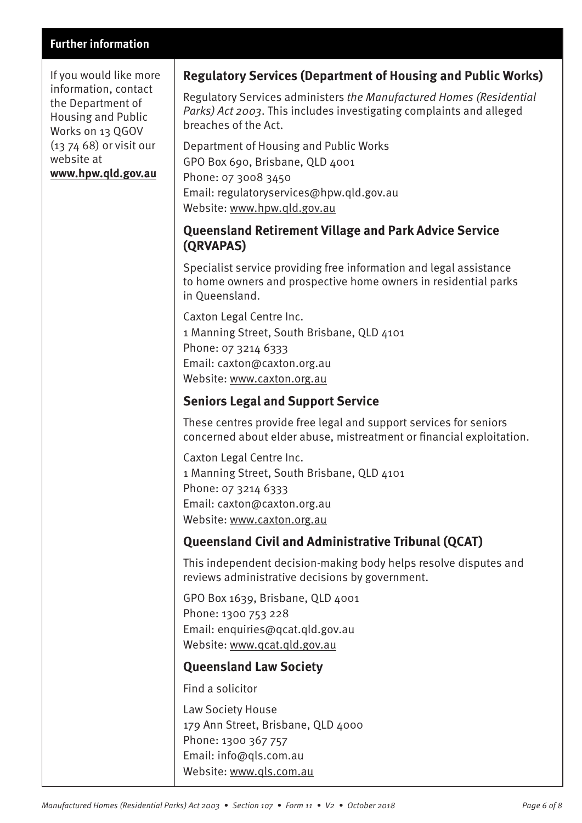#### **Further information**

If you would like more information, contact the Department of Housing and Public Works on 13 QGOV (13 74 68) or visit our website at **[www.hpw.qld.gov.au](http://www.hpw.qld.gov.au)**

# **Regulatory Services (Department of Housing and Public Works)**

Regulatory Services administers the Manufactured Homes (Residential Parks) Act 2003. This includes investigating complaints and alleged breaches of the Act.

Department of Housing and Public Works GPO Box 690, Brisbane, QLD 4001 Phone: 07 3008 3450 Email: regulatoryservices@hpw.qld.gov.au Website: [www.hpw.qld.gov.au](http://www.hpw.qld.gov.au)

## **Queensland Retirement Village and Park Advice Service (QRVAPAS)**

Specialist service providing free information and legal assistance to home owners and prospective home owners in residential parks in Queensland.

Caxton Legal Centre Inc. 1 Manning Street, South Brisbane, QLD 4101 Phone: 07 3214 6333 Email: caxton@caxton.org.au Website: [www.caxton.org.au](http://www.caxton.org.au)

### **Seniors Legal and Support Service**

These centres provide free legal and support services for seniors concerned about elder abuse, mistreatment or financial exploitation.

Caxton Legal Centre Inc. 1 Manning Street, South Brisbane, QLD 4101 Phone: 07 3214 6333 Email: caxton@caxton.org.au Website: [www.caxton.org.au](http://www.caxton.org.au)

# **Queensland Civil and Administrative Tribunal (QCAT)**

This independent decision-making body helps resolve disputes and reviews administrative decisions by government.

GPO Box 1639, Brisbane, QLD 4001 Phone: 1300 753 228 Email: enquiries@qcat.qld.gov.au Website: [www.qcat.qld.gov.au](http://www.qcat.qld.gov.au)

### **Queensland Law Society**

Find a solicitor

Law Society House 179 Ann Street, Brisbane, QLD 4000 Phone: 1300 367 757 Email: info@qls.com.au Website: [www.qls.com.au](http://www.qls.com.au)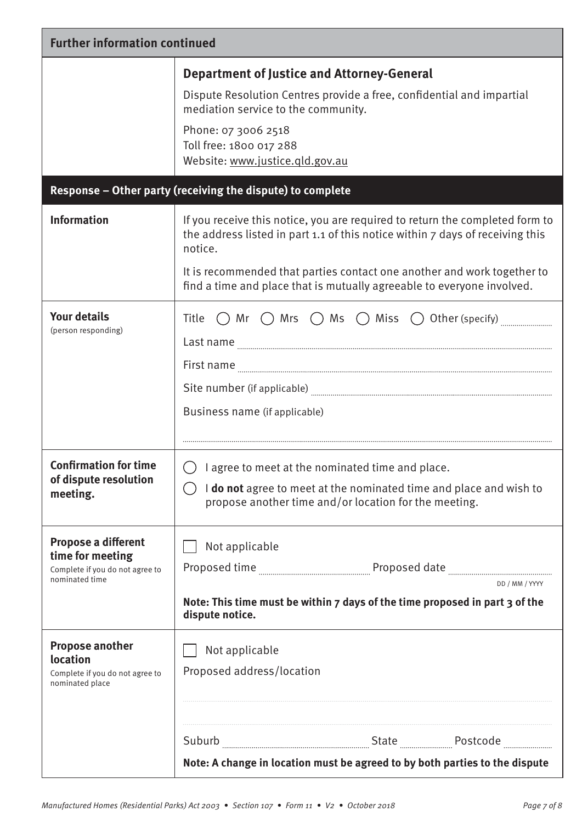| <b>Further information continued</b>                                                         |                                                                                                                                                                                                                                                                                                                               |  |
|----------------------------------------------------------------------------------------------|-------------------------------------------------------------------------------------------------------------------------------------------------------------------------------------------------------------------------------------------------------------------------------------------------------------------------------|--|
|                                                                                              | <b>Department of Justice and Attorney-General</b><br>Dispute Resolution Centres provide a free, confidential and impartial<br>mediation service to the community.<br>Phone: 07 3006 2518<br>Toll free: 1800 017 288<br>Website: www.justice.qld.gov.au                                                                        |  |
|                                                                                              | Response - Other party (receiving the dispute) to complete                                                                                                                                                                                                                                                                    |  |
| <b>Information</b>                                                                           | If you receive this notice, you are required to return the completed form to<br>the address listed in part 1.1 of this notice within 7 days of receiving this<br>notice.<br>It is recommended that parties contact one another and work together to<br>find a time and place that is mutually agreeable to everyone involved. |  |
| <b>Your details</b><br>(person responding)                                                   | Title $\bigcap$ Mr $\bigcap$ Mrs $\bigcap$ Ms $\bigcap$ Miss $\bigcirc$ Other (specify)<br>Business name (if applicable)                                                                                                                                                                                                      |  |
| <b>Confirmation for time</b><br>of dispute resolution<br>meeting.                            | I agree to meet at the nominated time and place.<br>I do not agree to meet at the nominated time and place and wish to<br>propose another time and/or location for the meeting.                                                                                                                                               |  |
| Propose a different<br>time for meeting<br>Complete if you do not agree to<br>nominated time | Not applicable<br>Proposed time <b>manufacture and the contract of the contract of the contract of the contract of the contract of t</b><br>DD / MM / YYYY<br>Note: This time must be within 7 days of the time proposed in part 3 of the<br>dispute notice.                                                                  |  |
| <b>Propose another</b><br>location<br>Complete if you do not agree to<br>nominated place     | Not applicable<br>Proposed address/location                                                                                                                                                                                                                                                                                   |  |
|                                                                                              |                                                                                                                                                                                                                                                                                                                               |  |
|                                                                                              | Note: A change in location must be agreed to by both parties to the dispute                                                                                                                                                                                                                                                   |  |